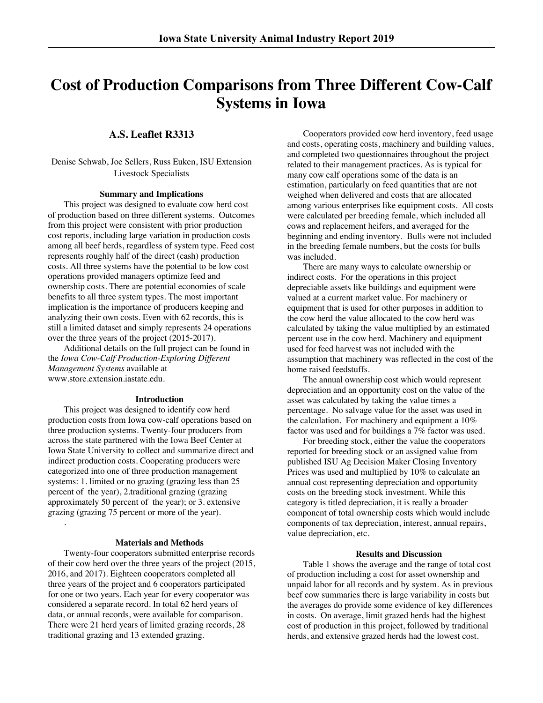# **Cost of Production Comparisons from Three Different Cow-Calf Systems in Iowa**

# **A.S. Leaflet R3313**

### Denise Schwab, Joe Sellers, Russ Euken, ISU Extension Livestock Specialists

### **Summary and Implications**

This project was designed to evaluate cow herd cost of production based on three different systems. Outcomes from this project were consistent with prior production cost reports, including large variation in production costs among all beef herds, regardless of system type. Feed cost represents roughly half of the direct (cash) production costs. All three systems have the potential to be low cost operations provided managers optimize feed and ownership costs. There are potential economies of scale benefits to all three system types. The most important implication is the importance of producers keeping and analyzing their own costs. Even with 62 records, this is still a limited dataset and simply represents 24 operations over the three years of the project (2015-2017).

Additional details on the full project can be found in the *Iowa Cow-Calf Production-Exploring Different Management Systems* available at www.store.extension.iastate.edu.

### **Introduction**

This project was designed to identify cow herd production costs from Iowa cow-calf operations based on three production systems. Twenty-four producers from across the state partnered with the Iowa Beef Center at Iowa State University to collect and summarize direct and indirect production costs. Cooperating producers were categorized into one of three production management systems: 1. limited or no grazing (grazing less than 25 percent of the year), 2.traditional grazing (grazing approximately 50 percent of the year); or 3. extensive grazing (grazing 75 percent or more of the year).

.

### **Materials and Methods**

Twenty-four cooperators submitted enterprise records of their cow herd over the three years of the project (2015, 2016, and 2017). Eighteen cooperators completed all three years of the project and 6 cooperators participated for one or two years. Each year for every cooperator was considered a separate record. In total 62 herd years of data, or annual records, were available for comparison. There were 21 herd years of limited grazing records, 28 traditional grazing and 13 extended grazing.

Cooperators provided cow herd inventory, feed usage and costs, operating costs, machinery and building values, and completed two questionnaires throughout the project related to their management practices. As is typical for many cow calf operations some of the data is an estimation, particularly on feed quantities that are not weighed when delivered and costs that are allocated among various enterprises like equipment costs. All costs were calculated per breeding female, which included all cows and replacement heifers, and averaged for the beginning and ending inventory. Bulls were not included in the breeding female numbers, but the costs for bulls was included.

There are many ways to calculate ownership or indirect costs. For the operations in this project depreciable assets like buildings and equipment were valued at a current market value. For machinery or equipment that is used for other purposes in addition to the cow herd the value allocated to the cow herd was calculated by taking the value multiplied by an estimated percent use in the cow herd. Machinery and equipment used for feed harvest was not included with the assumption that machinery was reflected in the cost of the home raised feedstuffs.

The annual ownership cost which would represent depreciation and an opportunity cost on the value of the asset was calculated by taking the value times a percentage. No salvage value for the asset was used in the calculation. For machinery and equipment a 10% factor was used and for buildings a 7% factor was used.

For breeding stock, either the value the cooperators reported for breeding stock or an assigned value from published ISU Ag Decision Maker Closing Inventory Prices was used and multiplied by 10% to calculate an annual cost representing depreciation and opportunity costs on the breeding stock investment. While this category is titled depreciation, it is really a broader component of total ownership costs which would include components of tax depreciation, interest, annual repairs, value depreciation, etc.

### **Results and Discussion**

Table 1 shows the average and the range of total cost of production including a cost for asset ownership and unpaid labor for all records and by system. As in previous beef cow summaries there is large variability in costs but the averages do provide some evidence of key differences in costs. On average, limit grazed herds had the highest cost of production in this project, followed by traditional herds, and extensive grazed herds had the lowest cost.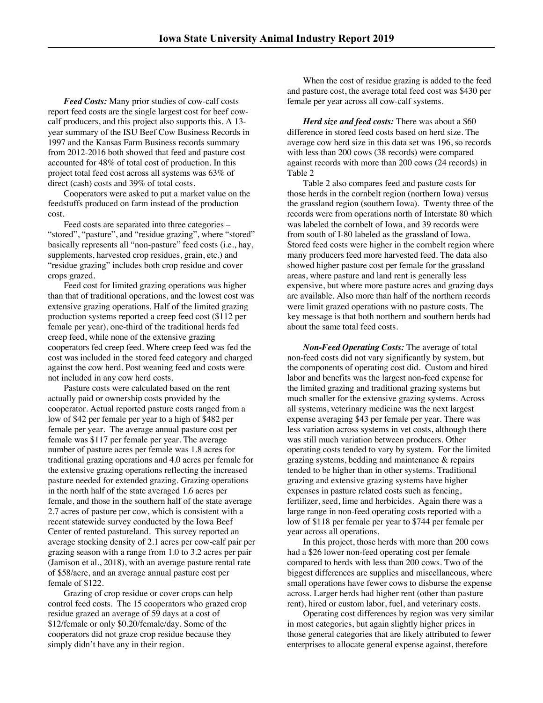*Feed Costs:* Many prior studies of cow-calf costs report feed costs are the single largest cost for beef cowcalf producers, and this project also supports this. A 13 year summary of the ISU Beef Cow Business Records in 1997 and the Kansas Farm Business records summary from 2012-2016 both showed that feed and pasture cost accounted for 48% of total cost of production. In this project total feed cost across all systems was 63% of direct (cash) costs and 39% of total costs.

Cooperators were asked to put a market value on the feedstuffs produced on farm instead of the production cost.

Feed costs are separated into three categories – "stored", "pasture", and "residue grazing", where "stored" basically represents all "non-pasture" feed costs (i.e., hay, supplements, harvested crop residues, grain, etc.) and "residue grazing" includes both crop residue and cover crops grazed.

Feed cost for limited grazing operations was higher than that of traditional operations, and the lowest cost was extensive grazing operations. Half of the limited grazing production systems reported a creep feed cost (\$112 per female per year), one-third of the traditional herds fed creep feed, while none of the extensive grazing cooperators fed creep feed. Where creep feed was fed the cost was included in the stored feed category and charged against the cow herd. Post weaning feed and costs were not included in any cow herd costs.

Pasture costs were calculated based on the rent actually paid or ownership costs provided by the cooperator. Actual reported pasture costs ranged from a low of \$42 per female per year to a high of \$482 per female per year. The average annual pasture cost per female was \$117 per female per year. The average number of pasture acres per female was 1.8 acres for traditional grazing operations and 4.0 acres per female for the extensive grazing operations reflecting the increased pasture needed for extended grazing. Grazing operations in the north half of the state averaged 1.6 acres per female, and those in the southern half of the state average 2.7 acres of pasture per cow, which is consistent with a recent statewide survey conducted by the Iowa Beef Center of rented pastureland. This survey reported an average stocking density of 2.1 acres per cow-calf pair per grazing season with a range from 1.0 to 3.2 acres per pair (Jamison et al., 2018), with an average pasture rental rate of \$58/acre, and an average annual pasture cost per female of \$122.

Grazing of crop residue or cover crops can help control feed costs. The 15 cooperators who grazed crop residue grazed an average of 59 days at a cost of \$12/female or only \$0.20/female/day. Some of the cooperators did not graze crop residue because they simply didn't have any in their region.

When the cost of residue grazing is added to the feed and pasture cost, the average total feed cost was \$430 per female per year across all cow-calf systems.

*Herd size and feed costs:* There was about a \$60 difference in stored feed costs based on herd size. The average cow herd size in this data set was 196, so records with less than 200 cows (38 records) were compared against records with more than 200 cows (24 records) in Table 2

Table 2 also compares feed and pasture costs for those herds in the cornbelt region (northern Iowa) versus the grassland region (southern Iowa). Twenty three of the records were from operations north of Interstate 80 which was labeled the cornbelt of Iowa, and 39 records were from south of I-80 labeled as the grassland of Iowa. Stored feed costs were higher in the cornbelt region where many producers feed more harvested feed. The data also showed higher pasture cost per female for the grassland areas, where pasture and land rent is generally less expensive, but where more pasture acres and grazing days are available. Also more than half of the northern records were limit grazed operations with no pasture costs. The key message is that both northern and southern herds had about the same total feed costs.

*Non-Feed Operating Costs:* The average of total non-feed costs did not vary significantly by system, but the components of operating cost did. Custom and hired labor and benefits was the largest non-feed expense for the limited grazing and traditional grazing systems but much smaller for the extensive grazing systems. Across all systems, veterinary medicine was the next largest expense averaging \$43 per female per year. There was less variation across systems in vet costs, although there was still much variation between producers. Other operating costs tended to vary by system. For the limited grazing systems, bedding and maintenance & repairs tended to be higher than in other systems. Traditional grazing and extensive grazing systems have higher expenses in pasture related costs such as fencing, fertilizer, seed, lime and herbicides. Again there was a large range in non-feed operating costs reported with a low of \$118 per female per year to \$744 per female per year across all operations.

In this project, those herds with more than 200 cows had a \$26 lower non-feed operating cost per female compared to herds with less than 200 cows. Two of the biggest differences are supplies and miscellaneous, where small operations have fewer cows to disburse the expense across. Larger herds had higher rent (other than pasture rent), hired or custom labor, fuel, and veterinary costs.

Operating cost differences by region was very similar in most categories, but again slightly higher prices in those general categories that are likely attributed to fewer enterprises to allocate general expense against, therefore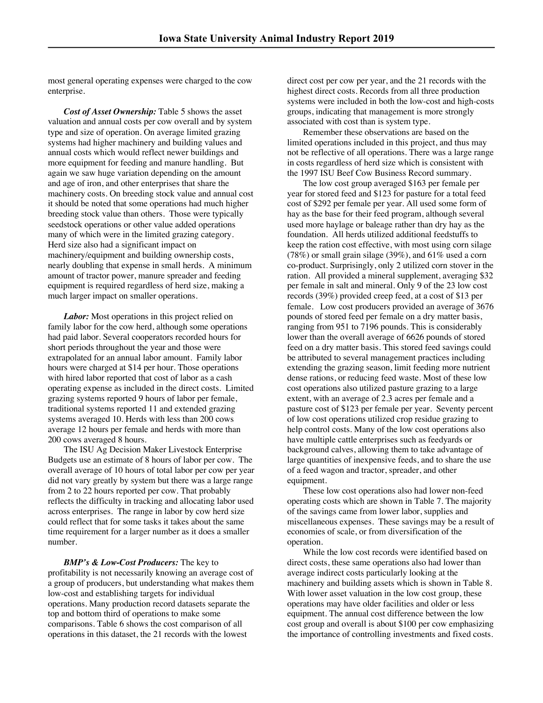most general operating expenses were charged to the cow enterprise.

*Cost of Asset Ownership:* Table 5 shows the asset valuation and annual costs per cow overall and by system type and size of operation. On average limited grazing systems had higher machinery and building values and annual costs which would reflect newer buildings and more equipment for feeding and manure handling. But again we saw huge variation depending on the amount and age of iron, and other enterprises that share the machinery costs. On breeding stock value and annual cost it should be noted that some operations had much higher breeding stock value than others. Those were typically seedstock operations or other value added operations many of which were in the limited grazing category. Herd size also had a significant impact on machinery/equipment and building ownership costs, nearly doubling that expense in small herds. A minimum amount of tractor power, manure spreader and feeding equipment is required regardless of herd size, making a much larger impact on smaller operations.

*Labor:* Most operations in this project relied on family labor for the cow herd, although some operations had paid labor. Several cooperators recorded hours for short periods throughout the year and those were extrapolated for an annual labor amount. Family labor hours were charged at \$14 per hour. Those operations with hired labor reported that cost of labor as a cash operating expense as included in the direct costs. Limited grazing systems reported 9 hours of labor per female, traditional systems reported 11 and extended grazing systems averaged 10. Herds with less than 200 cows average 12 hours per female and herds with more than 200 cows averaged 8 hours.

The ISU Ag Decision Maker Livestock Enterprise Budgets use an estimate of 8 hours of labor per cow. The overall average of 10 hours of total labor per cow per year did not vary greatly by system but there was a large range from 2 to 22 hours reported per cow. That probably reflects the difficulty in tracking and allocating labor used across enterprises. The range in labor by cow herd size could reflect that for some tasks it takes about the same time requirement for a larger number as it does a smaller number.

### *BMP's & Low-Cost Producers:* The key to

profitability is not necessarily knowing an average cost of a group of producers, but understanding what makes them low-cost and establishing targets for individual operations. Many production record datasets separate the top and bottom third of operations to make some comparisons. Table 6 shows the cost comparison of all operations in this dataset, the 21 records with the lowest

direct cost per cow per year, and the 21 records with the highest direct costs. Records from all three production systems were included in both the low-cost and high-costs groups, indicating that management is more strongly associated with cost than is system type.

Remember these observations are based on the limited operations included in this project, and thus may not be reflective of all operations. There was a large range in costs regardless of herd size which is consistent with the 1997 ISU Beef Cow Business Record summary.

The low cost group averaged \$163 per female per year for stored feed and \$123 for pasture for a total feed cost of \$292 per female per year. All used some form of hay as the base for their feed program, although several used more haylage or baleage rather than dry hay as the foundation. All herds utilized additional feedstuffs to keep the ration cost effective, with most using corn silage  $(78%)$  or small grain silage  $(39%)$ , and  $61%$  used a corn co-product. Surprisingly, only 2 utilized corn stover in the ration. All provided a mineral supplement, averaging \$32 per female in salt and mineral. Only 9 of the 23 low cost records (39%) provided creep feed, at a cost of \$13 per female. Low cost producers provided an average of 3676 pounds of stored feed per female on a dry matter basis, ranging from 951 to 7196 pounds. This is considerably lower than the overall average of 6626 pounds of stored feed on a dry matter basis. This stored feed savings could be attributed to several management practices including extending the grazing season, limit feeding more nutrient dense rations, or reducing feed waste. Most of these low cost operations also utilized pasture grazing to a large extent, with an average of 2.3 acres per female and a pasture cost of \$123 per female per year. Seventy percent of low cost operations utilized crop residue grazing to help control costs. Many of the low cost operations also have multiple cattle enterprises such as feedyards or background calves, allowing them to take advantage of large quantities of inexpensive feeds, and to share the use of a feed wagon and tractor, spreader, and other equipment.

These low cost operations also had lower non-feed operating costs which are shown in Table 7. The majority of the savings came from lower labor, supplies and miscellaneous expenses. These savings may be a result of economies of scale, or from diversification of the operation.

While the low cost records were identified based on direct costs, these same operations also had lower than average indirect costs particularly looking at the machinery and building assets which is shown in Table 8. With lower asset valuation in the low cost group, these operations may have older facilities and older or less equipment. The annual cost difference between the low cost group and overall is about \$100 per cow emphasizing the importance of controlling investments and fixed costs.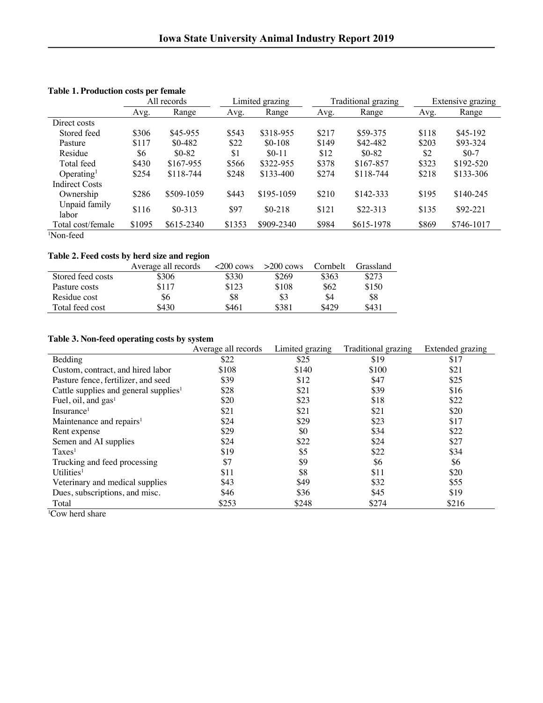|                        |        | Limited grazing<br>All records |        | Traditional grazing |       | Extensive grazing |       |            |
|------------------------|--------|--------------------------------|--------|---------------------|-------|-------------------|-------|------------|
|                        | Avg.   | Range                          | Avg.   | Range               | Avg.  | Range             | Avg.  | Range      |
| Direct costs           |        |                                |        |                     |       |                   |       |            |
| Stored feed            | \$306  | \$45-955                       | \$543  | \$318-955           | \$217 | \$59-375          | \$118 | \$45-192   |
| Pasture                | \$117  | $$0-482$                       | \$22   | $$0-108$            | \$149 | \$42-482          | \$203 | $$93-324$  |
| Residue                | \$6    | $$0-82$                        | \$1    | $$0-11$             | \$12  | $$0-82$           | \$2   | $$0-7$     |
| Total feed             | \$430  | \$167-955                      | \$566  | \$322-955           | \$378 | \$167-857         | \$323 | $$192-520$ |
| Operating <sup>1</sup> | \$254  | $$118-744$                     | \$248  | $$133-400$          | \$274 | $$118-744$        | \$218 | \$133-306  |
| <b>Indirect Costs</b>  |        |                                |        |                     |       |                   |       |            |
| Ownership              | \$286  | \$509-1059                     | \$443  | \$195-1059          | \$210 | $$142-333$        | \$195 | $$140-245$ |
| Unpaid family<br>labor | \$116  | $$0-313$                       | \$97   | $$0-218$            | \$121 | $$22-313$         | \$135 | \$92-221   |
| Total cost/female      | \$1095 | \$615-2340                     | \$1353 | \$909-2340          | \$984 | \$615-1978        | \$869 | \$746-1017 |

# **Table 1. Production costs per female**

1 Non-feed

# **Table 2. Feed costs by herd size and region**

|                   | Average all records | $\approx$ 200 cows | $>200$ cows | Cornbelt | Grassland |
|-------------------|---------------------|--------------------|-------------|----------|-----------|
| Stored feed costs | \$306               | \$330              | \$269       | \$363    | \$273     |
| Pasture costs     | \$117               | \$123              | \$108       | \$62     | \$150     |
| Residue cost      | \$6                 | \$8                | \$3         | \$4      | \$8       |
| Total feed cost   | \$430               | \$461              | \$381       | \$429    | \$431     |

# **Table 3. Non-feed operating costs by system**

|                                                   | Average all records | Limited grazing | Traditional grazing | Extended grazing |
|---------------------------------------------------|---------------------|-----------------|---------------------|------------------|
| Bedding                                           | \$22                | \$25            | \$19                | \$17             |
| Custom, contract, and hired labor                 | \$108               | \$140           | \$100               | \$21             |
| Pasture fence, fertilizer, and seed               | \$39                | \$12            | \$47                | \$25             |
| Cattle supplies and general supplies <sup>1</sup> | \$28                | \$21            | \$39                | \$16             |
| Fuel, oil, and $gas1$                             | \$20                | \$23            | \$18                | \$22             |
| Insurance <sup>1</sup>                            | \$21                | \$21            | \$21                | \$20             |
| Maintenance and repairs <sup>1</sup>              | \$24                | \$29            | \$23                | \$17             |
| Rent expense                                      | \$29                | \$0             | \$34                | \$22             |
| Semen and AI supplies                             | \$24                | \$22            | \$24                | \$27             |
| Taxes <sup>1</sup>                                | \$19                | \$5             | \$22                | \$34             |
| Trucking and feed processing                      | \$7                 | \$9             | \$6                 | \$6              |
| Utilities <sup>1</sup>                            | \$11                | \$8             | \$11                | \$20             |
| Veterinary and medical supplies                   | \$43                | \$49            | \$32                | \$55             |
| Dues, subscriptions, and misc.                    | \$46                | \$36            | \$45                | \$19             |
| Total                                             | \$253               | \$248           | \$274               | \$216            |

1 Cow herd share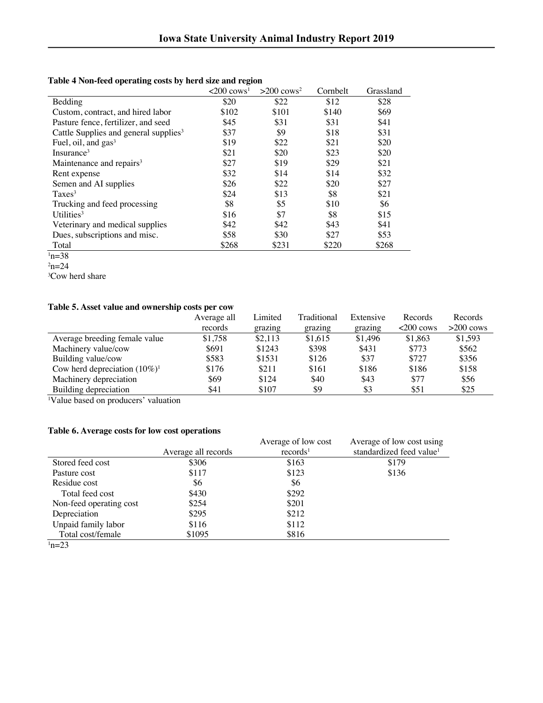|                                                   | $\langle 200 \text{ cows}^1$ | $>200$ cows <sup>2</sup> | Cornbelt | Grassland |
|---------------------------------------------------|------------------------------|--------------------------|----------|-----------|
| Bedding                                           | \$20                         | \$22                     | \$12     | \$28      |
| Custom, contract, and hired labor                 | \$102                        | \$101                    | \$140    | \$69      |
| Pasture fence, fertilizer, and seed               | \$45                         | \$31                     | \$31     | \$41      |
| Cattle Supplies and general supplies <sup>3</sup> | \$37                         | \$9                      | \$18     | \$31      |
| Fuel, oil, and $gas3$                             | \$19                         | \$22                     | \$21     | \$20      |
| Insurance <sup>3</sup>                            | \$21                         | \$20                     | \$23     | \$20      |
| Maintenance and repairs <sup>3</sup>              | \$27                         | \$19                     | \$29     | \$21      |
| Rent expense                                      | \$32                         | \$14                     | \$14     | \$32      |
| Semen and AI supplies                             | \$26                         | \$22                     | \$20     | \$27      |
| Taxes <sup>3</sup>                                | \$24                         | \$13                     | \$8      | \$21      |
| Trucking and feed processing                      | \$8                          | \$5                      | \$10     | \$6       |
| Utilities $3$                                     | \$16                         | \$7                      | \$8      | \$15      |
| Veterinary and medical supplies                   | \$42                         | \$42                     | \$43     | \$41      |
| Dues, subscriptions and misc.                     | \$58                         | \$30                     | \$27     | \$53      |
| Total                                             | \$268                        | \$231                    | \$220    | \$268     |

# **Table 4 Non-feed operating costs by herd size and region**

3 Cow herd share

# **Table 5. Asset value and ownership costs per cow**

|                                  | Average all | Limited | Traditional | Extensive | Records     | Records     |
|----------------------------------|-------------|---------|-------------|-----------|-------------|-------------|
|                                  | records     | grazing | grazing     | grazing   | $<200$ cows | $>200$ cows |
| Average breeding female value    | \$1,758     | \$2,113 | \$1,615     | \$1,496   | \$1,863     | \$1,593     |
| Machinery value/cow              | \$691       | \$1243  | \$398       | \$431     | \$773       | \$562       |
| Building value/cow               | \$583       | \$1531  | \$126       | \$37      | \$727       | \$356       |
| Cow herd depreciation $(10\%)^1$ | \$176       | \$211   | \$161       | \$186     | \$186       | \$158       |
| Machinery depreciation           | \$69        | \$124   | \$40        | \$43      | \$77        | \$56        |
| Building depreciation            | \$41        | \$107   | \$9         | \$3       | \$51        | \$25        |

1 Value based on producers' valuation

# **Table 6. Average costs for low cost operations**

|                         |                     | Average of low cost  | Average of low cost using            |
|-------------------------|---------------------|----------------------|--------------------------------------|
|                         | Average all records | records <sup>1</sup> | standardized feed value <sup>1</sup> |
| Stored feed cost        | \$306               | \$163                | \$179                                |
| Pasture cost            | \$117               | \$123                | \$136                                |
| Residue cost            | \$6                 | \$6                  |                                      |
| Total feed cost         | \$430               | \$292                |                                      |
| Non-feed operating cost | \$254               | \$201                |                                      |
| Depreciation            | \$295               | \$212                |                                      |
| Unpaid family labor     | \$116               | \$112                |                                      |
| Total cost/female       | \$1095              | \$816                |                                      |
| $^1n=23$                |                     |                      |                                      |

 $n=38$  $2n=24$